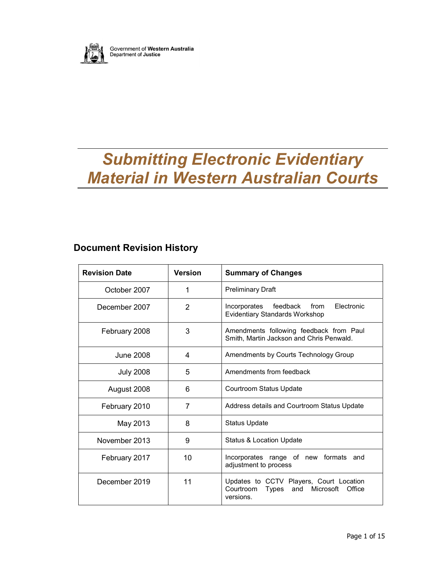

Government of Western Australia<br>Department of Justice

# Submitting Electronic Evidentiary Material in Western Australian Courts

### Document Revision History

| <b>Revision Date</b> | <b>Version</b> | <b>Summary of Changes</b>                                                                             |  |
|----------------------|----------------|-------------------------------------------------------------------------------------------------------|--|
| October 2007         | 1              | <b>Preliminary Draft</b>                                                                              |  |
| December 2007        | $\mathcal{P}$  | feedback<br>from<br>Electronic<br>Incorporates<br><b>Evidentiary Standards Workshop</b>               |  |
| February 2008        | 3              | Amendments following feedback from Paul<br>Smith, Martin Jackson and Chris Penwald.                   |  |
| June 2008            | 4              | Amendments by Courts Technology Group                                                                 |  |
| <b>July 2008</b>     | 5              | Amendments from feedback                                                                              |  |
| August 2008          | 6              | Courtroom Status Update                                                                               |  |
| February 2010        | 7              | Address details and Courtroom Status Update                                                           |  |
| May 2013             | 8              | <b>Status Update</b>                                                                                  |  |
| November 2013        | 9              | Status & Location Update                                                                              |  |
| February 2017        | 10             | Incorporates range of new formats<br>and<br>adjustment to process                                     |  |
| December 2019        | 11             | Updates to CCTV Players, Court Location<br>Courtroom<br>Types and<br>Microsoft<br>Office<br>versions. |  |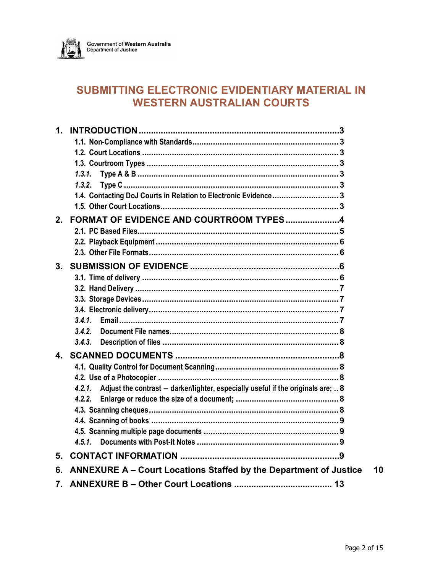

## SUBMITTING ELECTRONIC EVIDENTIARY MATERIAL IN **WESTERN AUSTRALIAN COURTS**

| $\mathbf 1$ .  |                                                                                         |
|----------------|-----------------------------------------------------------------------------------------|
|                |                                                                                         |
|                |                                                                                         |
|                |                                                                                         |
|                | 1.3.1.                                                                                  |
|                |                                                                                         |
|                | 1.4. Contacting DoJ Courts in Relation to Electronic Evidence 3                         |
|                |                                                                                         |
| 2.             | FORMAT OF EVIDENCE AND COURTROOM TYPES4                                                 |
|                |                                                                                         |
|                |                                                                                         |
|                |                                                                                         |
| 3 <sub>1</sub> |                                                                                         |
|                |                                                                                         |
|                |                                                                                         |
|                |                                                                                         |
|                |                                                                                         |
|                |                                                                                         |
|                | 3.4.2.                                                                                  |
|                | 3.4.3.                                                                                  |
| 4              |                                                                                         |
|                |                                                                                         |
|                |                                                                                         |
|                | 4.2.1. Adjust the contrast - darker/lighter, especially useful if the originals are;  8 |
|                | 4.2.2.                                                                                  |
|                |                                                                                         |
|                |                                                                                         |
|                |                                                                                         |
|                |                                                                                         |
| 5.             |                                                                                         |
| 6.             | <b>ANNEXURE A - Court Locations Staffed by the Department of Justice</b>                |
| 7.             |                                                                                         |
|                |                                                                                         |

10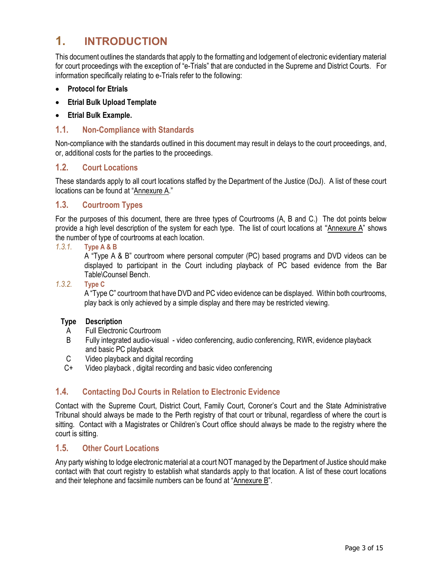### 1. INTRODUCTION

This document outlines the standards that apply to the formatting and lodgement of electronic evidentiary material for court proceedings with the exception of "e-Trials" that are conducted in the Supreme and District Courts. For information specifically relating to e-Trials refer to the following:

- Protocol for Etrials
- Etrial Bulk Upload Template
- Etrial Bulk Example.

#### 1.1. Non-Compliance with Standards

Non-compliance with the standards outlined in this document may result in delays to the court proceedings, and, or, additional costs for the parties to the proceedings.

#### 1.2. Court Locations

These standards apply to all court locations staffed by the Department of the Justice (DoJ). A list of these court locations can be found at "Annexure A."

#### 1.3. Courtroom Types

For the purposes of this document, there are three types of Courtrooms (A, B and C.) The dot points below provide a high level description of the system for each type. The list of court locations at "Annexure A" shows the number of type of courtrooms at each location.

#### 1.3.1. Type A & B

A "Type A & B" courtroom where personal computer (PC) based programs and DVD videos can be displayed to participant in the Court including playback of PC based evidence from the Bar Table\Counsel Bench.

#### 1.3.2. Type C

A "Type C" courtroom that have DVD and PC video evidence can be displayed. Within both courtrooms, play back is only achieved by a simple display and there may be restricted viewing.

#### Type Description

- A Full Electronic Courtroom
- B Fully integrated audio-visual video conferencing, audio conferencing, RWR, evidence playback and basic PC playback
- C Video playback and digital recording
- C+ Video playback , digital recording and basic video conferencing

#### 1.4. Contacting DoJ Courts in Relation to Electronic Evidence

Contact with the Supreme Court, District Court, Family Court, Coroner's Court and the State Administrative Tribunal should always be made to the Perth registry of that court or tribunal, regardless of where the court is sitting. Contact with a Magistrates or Children's Court office should always be made to the registry where the court is sitting.

#### 1.5. Other Court Locations

Any party wishing to lodge electronic material at a court NOT managed by the Department of Justice should make contact with that court registry to establish what standards apply to that location. A list of these court locations and their telephone and facsimile numbers can be found at "Annexure B".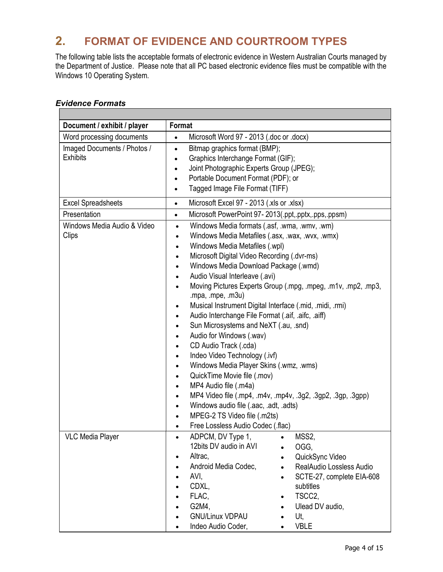# 2. FORMAT OF EVIDENCE AND COURTROOM TYPES

The following table lists the acceptable formats of electronic evidence in Western Australian Courts managed by the Department of Justice. Please note that all PC based electronic evidence files must be compatible with the Windows 10 Operating System.

#### Evidence Formats

| Document / exhibit / player                    | <b>Format</b>                                                                                                                                                                                                                                                                                                                                                                                                                                                                                                                                                                                                                                                                                                                                                                                                                                                                                                                                                                                                                                                                  |  |  |  |
|------------------------------------------------|--------------------------------------------------------------------------------------------------------------------------------------------------------------------------------------------------------------------------------------------------------------------------------------------------------------------------------------------------------------------------------------------------------------------------------------------------------------------------------------------------------------------------------------------------------------------------------------------------------------------------------------------------------------------------------------------------------------------------------------------------------------------------------------------------------------------------------------------------------------------------------------------------------------------------------------------------------------------------------------------------------------------------------------------------------------------------------|--|--|--|
| Word processing documents                      | Microsoft Word 97 - 2013 (.doc or .docx)<br>$\bullet$                                                                                                                                                                                                                                                                                                                                                                                                                                                                                                                                                                                                                                                                                                                                                                                                                                                                                                                                                                                                                          |  |  |  |
| Imaged Documents / Photos /<br><b>Exhibits</b> | Bitmap graphics format (BMP);<br>$\bullet$<br>Graphics Interchange Format (GIF);<br>$\bullet$<br>Joint Photographic Experts Group (JPEG);<br>$\bullet$<br>Portable Document Format (PDF); or<br>$\bullet$<br>Tagged Image File Format (TIFF)<br>$\bullet$                                                                                                                                                                                                                                                                                                                                                                                                                                                                                                                                                                                                                                                                                                                                                                                                                      |  |  |  |
| <b>Excel Spreadsheets</b>                      | Microsoft Excel 97 - 2013 (.xls or .xlsx)<br>$\bullet$                                                                                                                                                                                                                                                                                                                                                                                                                                                                                                                                                                                                                                                                                                                                                                                                                                                                                                                                                                                                                         |  |  |  |
| Presentation                                   | Microsoft PowerPoint 97-2013(.ppt,.pptx,.pps,.ppsm)<br>$\bullet$                                                                                                                                                                                                                                                                                                                                                                                                                                                                                                                                                                                                                                                                                                                                                                                                                                                                                                                                                                                                               |  |  |  |
| Windows Media Audio & Video<br>Clips           | Windows Media formats (.asf, .wma, .wmv, .wm)<br>$\bullet$<br>Windows Media Metafiles (.asx, .wax, .wvx, .wmx)<br>$\bullet$<br>Windows Media Metafiles (.wpl)<br>$\bullet$<br>Microsoft Digital Video Recording (.dvr-ms)<br>$\bullet$<br>Windows Media Download Package (.wmd)<br>Audio Visual Interleave (.avi)<br>$\bullet$<br>Moving Pictures Experts Group (.mpg, .mpeg, .m1v, .mp2, .mp3,<br>$\bullet$<br>.mpa, .mpe, $.m3u)$<br>Musical Instrument Digital Interface (.mid, .midi, .rmi)<br>Audio Interchange File Format (.aif, .aifc, .aiff)<br>$\bullet$<br>Sun Microsystems and NeXT (.au, .snd)<br>$\bullet$<br>Audio for Windows (.wav)<br>CD Audio Track (.cda)<br>$\bullet$<br>Indeo Video Technology (.ivf)<br>$\bullet$<br>Windows Media Player Skins (.wmz, .wms)<br>QuickTime Movie file (.mov)<br>$\bullet$<br>MP4 Audio file (.m4a)<br>$\bullet$<br>MP4 Video file (.mp4, .m4v, .mp4v, .3g2, .3gp2, .3gp, .3gpp)<br>Windows audio file (.aac, .adt, .adts)<br>$\bullet$<br>MPEG-2 TS Video file (.m2ts)<br>$\bullet$<br>Free Lossless Audio Codec (.flac) |  |  |  |
| <b>VLC Media Player</b>                        | ADPCM, DV Type 1,<br>MSS2,<br>12bits DV audio in AVI<br>OGG.<br>Altrac,<br>QuickSync Video<br>$\bullet$<br>Android Media Codec,<br>RealAudio Lossless Audio<br>$\bullet$<br>AVI,<br>SCTE-27, complete EIA-608<br>$\bullet$<br>CDXL,<br>subtitles<br>FLAC,<br>TSCC2,<br>$\bullet$<br>G2M4,<br>Ulead DV audio,<br><b>GNU/Linux VDPAU</b><br>Ut,<br><b>VBLE</b><br>Indeo Audio Coder,<br>$\bullet$                                                                                                                                                                                                                                                                                                                                                                                                                                                                                                                                                                                                                                                                                |  |  |  |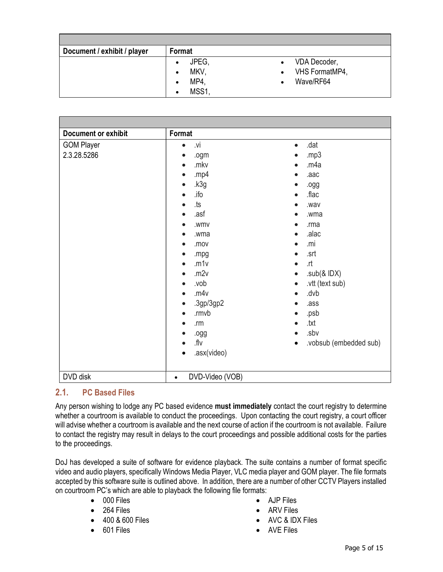| Document / exhibit / player | Format                                                                    |                                                                       |
|-----------------------------|---------------------------------------------------------------------------|-----------------------------------------------------------------------|
|                             | JPEG.<br>$\bullet$<br>MKV,<br>$\bullet$<br>MP4.<br>٠<br>MSS1<br>$\bullet$ | VDA Decoder,<br>$\bullet$<br>VHS FormatMP4,<br>$\bullet$<br>Wave/RF64 |

| <b>Document or exhibit</b>       | Format                                                                                                                                                                                                                                                                                                                                                                                                                                                  |                                                                                                                                                                                                                                                                                                                                                                                                                                             |
|----------------------------------|---------------------------------------------------------------------------------------------------------------------------------------------------------------------------------------------------------------------------------------------------------------------------------------------------------------------------------------------------------------------------------------------------------------------------------------------------------|---------------------------------------------------------------------------------------------------------------------------------------------------------------------------------------------------------------------------------------------------------------------------------------------------------------------------------------------------------------------------------------------------------------------------------------------|
| <b>GOM Player</b><br>2.3.28.5286 | .vi<br>$\bullet$<br>.ogm<br>$\bullet$<br>.mkv<br>$\bullet$<br>.mp4<br>$\bullet$<br>.k3g<br>$\bullet$<br>.ifo<br>$\bullet$<br>.ts<br>$\bullet$<br>.asf<br>$\bullet$<br>.wmv<br>$\bullet$<br>.wma<br>$\bullet$<br>.mov<br>$\bullet$<br>.mpg<br>$\bullet$<br>.m1v<br>$\bullet$<br>.m2v<br>$\bullet$<br>.vob<br>$\bullet$<br>.m4v<br>$\bullet$<br>.3gp/3gp2<br>$\bullet$<br>.rmvb<br>$\bullet$<br>.m<br>$\bullet$<br>.ogg<br>$\bullet$<br>.flv<br>$\bullet$ | .dat<br>$\bullet$<br>.mp3<br>$\bullet$<br>.m4a<br>$\bullet$<br>.aac<br>$\bullet$<br>.ogg<br>.flac<br>$\bullet$<br>.wav<br>$\bullet$<br>.wma<br>$\bullet$<br>.rma<br>$\bullet$<br>.alac<br>$\bullet$<br>.mi<br>$\bullet$<br>.srt<br>$\bullet$<br>.rt<br>$\bullet$<br>.sub $(8$ IDX $)$<br>$\bullet$<br>.vtt (text sub)<br>$\bullet$<br>.dvb<br>.ass<br>$\bullet$<br>.psb<br>.txt<br>$\bullet$<br>.sbv<br>$\bullet$<br>.vobsub (embedded sub) |
| DVD disk                         | .asx(video)<br>$\bullet$<br>DVD-Video (VOB)<br>$\bullet$                                                                                                                                                                                                                                                                                                                                                                                                | $\bullet$                                                                                                                                                                                                                                                                                                                                                                                                                                   |

### 2.1. PC Based Files

Any person wishing to lodge any PC based evidence must immediately contact the court registry to determine whether a courtroom is available to conduct the proceedings. Upon contacting the court registry, a court officer will advise whether a courtroom is available and the next course of action if the courtroom is not available. Failure to contact the registry may result in delays to the court proceedings and possible additional costs for the parties to the proceedings.

DoJ has developed a suite of software for evidence playback. The suite contains a number of format specific video and audio players, specifically Windows Media Player, VLC media player and GOM player. The file formats accepted by this software suite is outlined above. In addition, there are a number of other CCTV Players installed on courtroom PC's which are able to playback the following file formats:

- 000 Files
- $-264$  Files
- 400 & 600 Files
- 601 Files
- AJP Files
- ARV Files
- AVC & IDX Files
- AVE Files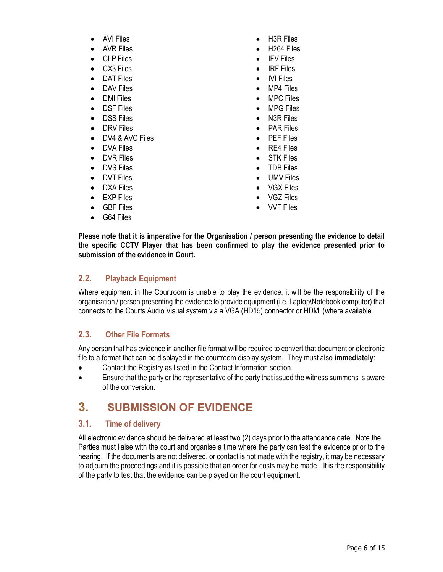- AVI Files
- AVR Files
- CLP Files
- CX3 Files
- DAT Files
- DAV Files
- DMI Files
- DSF Files
- DSS Files
- DRV Files
- DV4 & AVC Files
- DVA Files
- **DVR Files**
- DVS Files
- **DVT Files**
- DXA Files
- EXP Files
- GBF Files
- G64 Files
- H3R Files
- H264 Files
- IFV Files
- IRF Files
- IVI Files
- MP4 Files
- MPC Files
- MPG Files
- N3R Files
- PAR Files
- PEF Files
- RE4 Files
- STK Files
- TDB Files
- UMV Files
- VGX Files
- VGZ Files
- VVF Files

Please note that it is imperative for the Organisation / person presenting the evidence to detail the specific CCTV Player that has been confirmed to play the evidence presented prior to submission of the evidence in Court.

#### 2.2. Playback Equipment

Where equipment in the Courtroom is unable to play the evidence, it will be the responsibility of the organisation / person presenting the evidence to provide equipment (i.e. Laptop\Notebook computer) that connects to the Courts Audio Visual system via a VGA (HD15) connector or HDMI (where available.

#### 2.3. Other File Formats

Any person that has evidence in another file format will be required to convert that document or electronic file to a format that can be displayed in the courtroom display system. They must also immediately:

- Contact the Registry as listed in the Contact Information section,
- Ensure that the party or the representative of the party that issued the witness summons is aware of the conversion.

### 3. SUBMISSION OF EVIDENCE

#### 3.1. Time of delivery

All electronic evidence should be delivered at least two (2) days prior to the attendance date. Note the Parties must liaise with the court and organise a time where the party can test the evidence prior to the hearing. If the documents are not delivered, or contact is not made with the registry, it may be necessary to adjourn the proceedings and it is possible that an order for costs may be made. It is the responsibility of the party to test that the evidence can be played on the court equipment.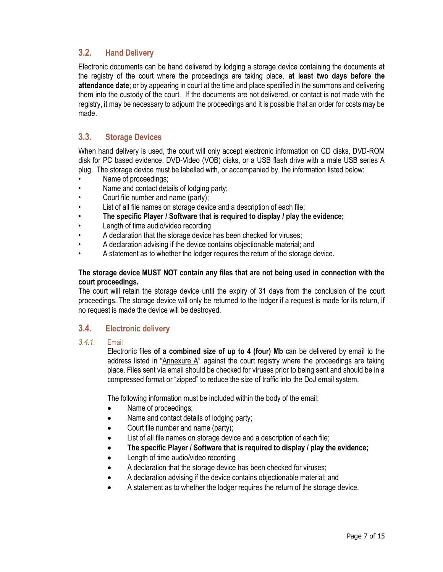#### 3.2. Hand Delivery

Electronic documents can be hand delivered by lodging a storage device containing the documents at the registry of the court where the proceedings are taking place, at least two days before the attendance date; or by appearing in court at the time and place specified in the summons and delivering them into the custody of the court. If the documents are not delivered, or contact is not made with the registry, it may be necessary to adjourn the proceedings and it is possible that an order for costs may be made.

#### 3.3. Storage Devices

When hand delivery is used, the court will only accept electronic information on CD disks, DVD-ROM disk for PC based evidence, DVD-Video (VOB) disks, or a USB flash drive with a male USB series A plug. The storage device must be labelled with, or accompanied by, the information listed below:

- Name of proceedings;
- Name and contact details of lodging party;
- Court file number and name (party);
- List of all file names on storage device and a description of each file;
- The specific Player / Software that is required to display / play the evidence;
- Length of time audio/video recording
- A declaration that the storage device has been checked for viruses;
- A declaration advising if the device contains objectionable material; and
- A statement as to whether the lodger requires the return of the storage device.

#### The storage device MUST NOT contain any files that are not being used in connection with the court proceedings.

The court will retain the storage device until the expiry of 31 days from the conclusion of the court proceedings. The storage device will only be returned to the lodger if a request is made for its return, if no request is made the device will be destroyed.

#### 3.4. Electronic delivery

#### 3.4.1. Email

Electronic files of a combined size of up to 4 (four) Mb can be delivered by email to the address listed in "Annexure A" against the court registry where the proceedings are taking place. Files sent via email should be checked for viruses prior to being sent and should be in a compressed format or "zipped" to reduce the size of traffic into the DoJ email system.

The following information must be included within the body of the email;

- Name of proceedings;
- Name and contact details of lodging party;
- Court file number and name (party);
- List of all file names on storage device and a description of each file;
- The specific Player / Software that is required to display / play the evidence;
- Length of time audio/video recording
- A declaration that the storage device has been checked for viruses;
- A declaration advising if the device contains objectionable material; and
- A statement as to whether the lodger requires the return of the storage device.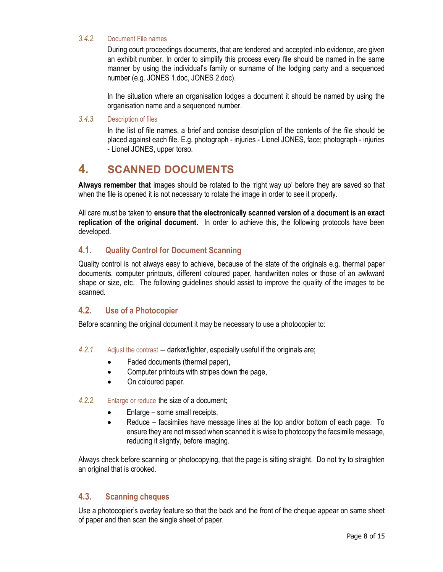#### 3.4.2. Document File names

During court proceedings documents, that are tendered and accepted into evidence, are given an exhibit number. In order to simplify this process every file should be named in the same manner by using the individual's family or surname of the lodging party and a sequenced number (e.g. JONES 1.doc, JONES 2.doc).

In the situation where an organisation lodges a document it should be named by using the organisation name and a sequenced number.

#### 3.4.3. Description of files

In the list of file names, a brief and concise description of the contents of the file should be placed against each file. E.g. photograph - injuries - Lionel JONES, face; photograph - injuries - Lionel JONES, upper torso.

### 4. SCANNED DOCUMENTS

Always remember that images should be rotated to the 'right way up' before they are saved so that when the file is opened it is not necessary to rotate the image in order to see it properly.

All care must be taken to ensure that the electronically scanned version of a document is an exact replication of the original document. In order to achieve this, the following protocols have been developed.

#### 4.1. Quality Control for Document Scanning

Quality control is not always easy to achieve, because of the state of the originals e.g. thermal paper documents, computer printouts, different coloured paper, handwritten notes or those of an awkward shape or size, etc. The following guidelines should assist to improve the quality of the images to be scanned.

#### 4.2. Use of a Photocopier

Before scanning the original document it may be necessary to use a photocopier to:

- 4.2.1. Adjust the contrast darker/lighter, especially useful if the originals are;
	- Faded documents (thermal paper),
	- Computer printouts with stripes down the page,
	- On coloured paper.
- 4.2.2. Enlarge or reduce the size of a document;
	- Enlarge some small receipts,
	- Reduce facsimiles have message lines at the top and/or bottom of each page. To ensure they are not missed when scanned it is wise to photocopy the facsimile message, reducing it slightly, before imaging.

Always check before scanning or photocopying, that the page is sitting straight. Do not try to straighten an original that is crooked.

#### 4.3. Scanning cheques

Use a photocopier's overlay feature so that the back and the front of the cheque appear on same sheet of paper and then scan the single sheet of paper.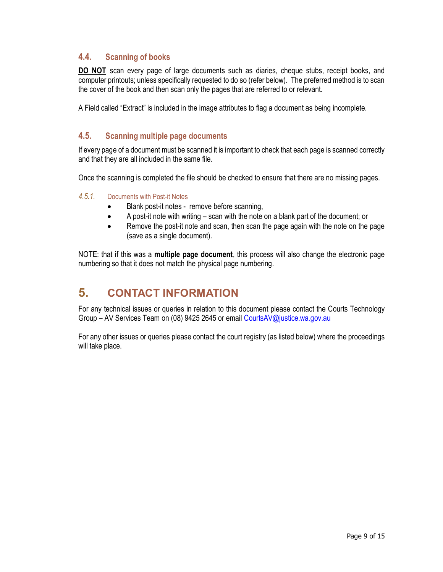#### 4.4. Scanning of books

DO NOT scan every page of large documents such as diaries, cheque stubs, receipt books, and computer printouts; unless specifically requested to do so (refer below). The preferred method is to scan the cover of the book and then scan only the pages that are referred to or relevant.

A Field called "Extract" is included in the image attributes to flag a document as being incomplete.

#### 4.5. Scanning multiple page documents

If every page of a document must be scanned it is important to check that each page is scanned correctly and that they are all included in the same file.

Once the scanning is completed the file should be checked to ensure that there are no missing pages.

#### 4.5.1. Documents with Post-it Notes

- Blank post-it notes remove before scanning,
- A post-it note with writing scan with the note on a blank part of the document; or
- Remove the post-it note and scan, then scan the page again with the note on the page (save as a single document).

NOTE: that if this was a **multiple page document**, this process will also change the electronic page numbering so that it does not match the physical page numbering.

### 5. CONTACT INFORMATION

For any technical issues or queries in relation to this document please contact the Courts Technology Group – AV Services Team on (08) 9425 2645 or email CourtsAV@justice.wa.gov.au

For any other issues or queries please contact the court registry (as listed below) where the proceedings will take place.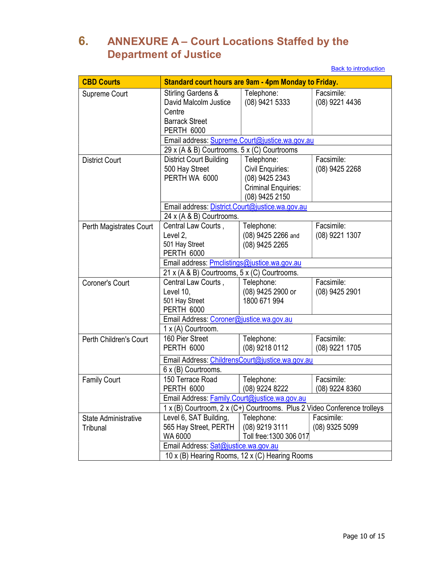# 6. ANNEXURE A – Court Locations Staffed by the Department of Justice

**Back to introduction** 

| <b>CBD Courts</b>                       | Standard court hours are 9am - 4pm Monday to Friday.                                                                      |                                                                                                  |                              |
|-----------------------------------------|---------------------------------------------------------------------------------------------------------------------------|--------------------------------------------------------------------------------------------------|------------------------------|
| Supreme Court                           | <b>Stirling Gardens &amp;</b><br>David Malcolm Justice<br>Centre<br><b>Barrack Street</b><br><b>PERTH 6000</b>            | Telephone:<br>(08) 9421 5333                                                                     | Facsimile:<br>(08) 9221 4436 |
|                                         | Email address: Supreme.Court@justice.wa.gov.au                                                                            |                                                                                                  |                              |
|                                         | 29 x (A & B) Courtrooms. 5 x (C) Courtrooms                                                                               |                                                                                                  |                              |
| <b>District Court</b>                   | District Court Building<br>500 Hay Street<br>PERTH WA 6000                                                                | Telephone:<br>Civil Enquiries:<br>(08) 9425 2343<br><b>Criminal Enquiries:</b><br>(08) 9425 2150 | Facsimile:<br>(08) 9425 2268 |
|                                         | Email address: District.Court@justice.wa.gov.au                                                                           |                                                                                                  |                              |
|                                         | 24 x (A & B) Courtrooms.                                                                                                  |                                                                                                  |                              |
| Perth Magistrates Court                 | Central Law Courts.<br>Level 2.<br>501 Hay Street<br><b>PERTH 6000</b>                                                    | Telephone:<br>(08) 9425 2266 and<br>(08) 9425 2265                                               | Facsimile:<br>(08) 9221 1307 |
|                                         | Email address: Pmclistings@justice.wa.gov.au                                                                              |                                                                                                  |                              |
|                                         | 21 x (A & B) Courtrooms, 5 x (C) Courtrooms.                                                                              |                                                                                                  |                              |
| Coroner's Court                         | Central Law Courts,<br>Level 10,<br>501 Hay Street<br><b>PERTH 6000</b>                                                   | Telephone:<br>(08) 9425 2900 or<br>1800 671 994                                                  | Facsimile:<br>(08) 9425 2901 |
|                                         | Email Address: Coroner@justice.wa.gov.au                                                                                  |                                                                                                  |                              |
|                                         | 1 x (A) Courtroom.                                                                                                        |                                                                                                  |                              |
| Perth Children's Court                  | 160 Pier Street<br><b>PERTH 6000</b>                                                                                      | Telephone:<br>(08) 9218 0112                                                                     | Facsimile:<br>(08) 9221 1705 |
|                                         | Email Address: ChildrensCourt@justice.wa.gov.au<br>6 x (B) Courtrooms.                                                    |                                                                                                  |                              |
| <b>Family Court</b>                     | 150 Terrace Road<br><b>PERTH 6000</b>                                                                                     | Telephone:<br>(08) 9224 8222                                                                     | Facsimile:<br>(08) 9224 8360 |
|                                         | Email Address: Family.Court@justice.wa.gov.au<br>1 x (B) Courtroom, 2 x (C+) Courtrooms. Plus 2 Video Conference trolleys |                                                                                                  |                              |
|                                         |                                                                                                                           |                                                                                                  |                              |
| <b>State Administrative</b><br>Tribunal | Level 6, SAT Building,<br>565 Hay Street, PERTH<br>WA 6000                                                                | Telephone:<br>(08) 9219 3111<br>Toll free: 1300 306 017                                          | Facsimile:<br>(08) 9325 5099 |
|                                         | Email Address: Sat@justice.wa.gov.au                                                                                      |                                                                                                  |                              |
|                                         | 10 x (B) Hearing Rooms, 12 x (C) Hearing Rooms                                                                            |                                                                                                  |                              |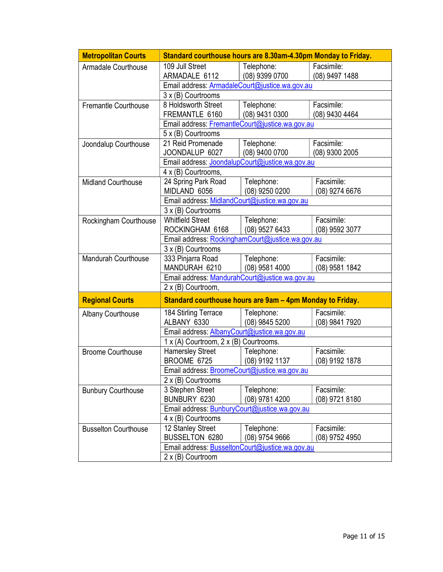| <b>Metropolitan Courts</b>  | Standard courthouse hours are 8.30am-4.30pm Monday to Friday. |                              |                              |  |
|-----------------------------|---------------------------------------------------------------|------------------------------|------------------------------|--|
| <b>Armadale Courthouse</b>  | 109 Jull Street<br>ARMADALE 6112                              | Telephone:<br>(08) 9399 0700 | Facsimile:<br>(08) 9497 1488 |  |
|                             | Email address: ArmadaleCourt@justice.wa.gov.au                |                              |                              |  |
|                             | 3 x (B) Courtrooms                                            |                              |                              |  |
| Fremantle Courthouse        | 8 Holdsworth Street<br>FREMANTLE 6160                         | Telephone:<br>(08) 9431 0300 | Facsimile:<br>(08) 9430 4464 |  |
|                             | Email address: FremantleCourt@justice.wa.gov.au               |                              |                              |  |
|                             | 5 x (B) Courtrooms                                            |                              |                              |  |
| Joondalup Courthouse        | 21 Reid Promenade<br>JOONDALUP 6027                           | Telephone:<br>(08) 9400 0700 | Facsimile:<br>(08) 9300 2005 |  |
|                             | Email address: JoondalupCourt@justice.wa.gov.au               |                              |                              |  |
|                             | 4 x (B) Courtrooms,                                           |                              |                              |  |
| Midland Courthouse          | 24 Spring Park Road                                           | Telephone:                   | Facsimile:                   |  |
|                             | MIDLAND 6056                                                  | (08) 9250 0200               | (08) 9274 6676               |  |
|                             | Email address: MidlandCourt@justice.wa.gov.au                 |                              |                              |  |
|                             | 3 x (B) Courtrooms                                            |                              |                              |  |
| Rockingham Courthouse       | <b>Whitfield Street</b>                                       | Telephone:                   | Facsimile:                   |  |
|                             | ROCKINGHAM 6168                                               | (08) 9527 6433               | (08) 9592 3077               |  |
|                             | Email address: RockinghamCourt@justice.wa.gov.au              |                              |                              |  |
| Mandurah Courthouse         | 3 x (B) Courtrooms                                            |                              | Facsimile:                   |  |
|                             | 333 Pinjarra Road<br>MANDURAH 6210                            | Telephone:<br>(08) 9581 4000 | (08) 9581 1842               |  |
|                             | Email address: MandurahCourt@justice.wa.gov.au                |                              |                              |  |
|                             | 2 x (B) Courtroom,                                            |                              |                              |  |
| <b>Regional Courts</b>      | Standard courthouse hours are 9am - 4pm Monday to Friday.     |                              |                              |  |
| <b>Albany Courthouse</b>    | 184 Stirling Terrace<br>ALBANY 6330                           | Telephone:<br>(08) 9845 5200 | Facsimile:<br>(08) 9841 7920 |  |
|                             | Email address: AlbanyCourt@justice.wa.gov.au                  |                              |                              |  |
|                             | 1 x (A) Courtroom, 2 x (B) Courtrooms.                        |                              |                              |  |
| <b>Broome Courthouse</b>    | <b>Hamersley Street</b>                                       | Telephone:                   | Facsimile:                   |  |
|                             | BROOME 6725                                                   | (08) 9192 1137               | (08) 9192 1878               |  |
|                             | Email address: BroomeCourt@justice.wa.gov.au                  |                              |                              |  |
|                             | 2 x (B) Courtrooms                                            |                              |                              |  |
| <b>Bunbury Courthouse</b>   | 3 Stephen Street                                              | Telephone:                   | Facsimile:                   |  |
|                             | BUNBURY 6230                                                  | (08) 9781 4200               | (08) 9721 8180               |  |
|                             | Email address: BunburyCourt@justice.wa.gov.au                 |                              |                              |  |
|                             | 4 x (B) Courtrooms                                            |                              |                              |  |
| <b>Busselton Courthouse</b> | 12 Stanley Street                                             | Telephone:                   | Facsimile:                   |  |
|                             | BUSSELTON 6280                                                | $(08)$ 9754 9666             | (08) 9752 4950               |  |
|                             | Email address: BusseltonCourt@justice.wa.gov.au               |                              |                              |  |
|                             | 2 x (B) Courtroom                                             |                              |                              |  |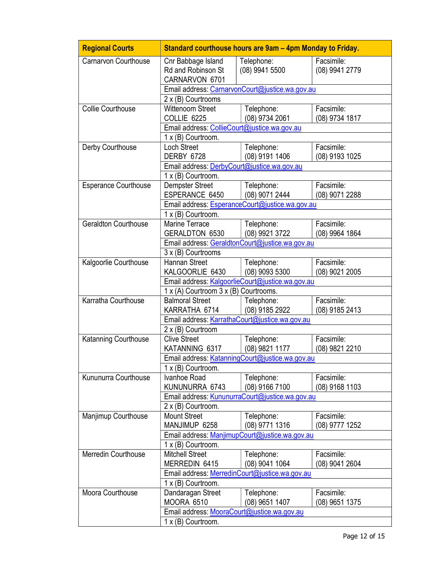| <b>Regional Courts</b>      | Standard courthouse hours are 9am - 4pm Monday to Friday.  |                                                 |                              |  |
|-----------------------------|------------------------------------------------------------|-------------------------------------------------|------------------------------|--|
| Carnarvon Courthouse        | Cnr Babbage Island<br>Rd and Robinson St<br>CARNARVON 6701 | Telephone:<br>(08) 9941 5500                    | Facsimile:<br>(08) 9941 2779 |  |
|                             |                                                            | Email address: CarnarvonCourt@justice.wa.gov.au |                              |  |
|                             | 2 x (B) Courtrooms                                         |                                                 |                              |  |
| <b>Collie Courthouse</b>    | <b>Wittenoom Street</b><br>COLLIE 6225                     | Telephone:<br>(08) 9734 2061                    | Facsimile:<br>(08) 9734 1817 |  |
|                             | Email address: CollieCourt@justice.wa.gov.au               |                                                 |                              |  |
|                             | 1 x (B) Courtroom.                                         |                                                 |                              |  |
| Derby Courthouse            | Loch Street<br>DERBY 6728                                  | Telephone:<br>(08) 9191 1406                    | Facsimile:<br>(08) 9193 1025 |  |
|                             | Email address: DerbyCourt@justice.wa.gov.au                |                                                 |                              |  |
|                             | 1 x (B) Courtroom.                                         |                                                 |                              |  |
| <b>Esperance Courthouse</b> | <b>Dempster Street</b><br>ESPERANCE 6450                   | Telephone:<br>(08) 9071 2444                    | Facsimile:<br>(08) 9071 2288 |  |
|                             |                                                            | Email address: EsperanceCourt@justice.wa.gov.au |                              |  |
|                             | 1 x (B) Courtroom.                                         |                                                 |                              |  |
| Geraldton Courthouse        | Marine Terrace                                             | Telephone:<br>(08) 9921 3722                    | Facsimile:                   |  |
|                             | <b>GERALDTON 6530</b>                                      |                                                 | (08) 9964 1864               |  |
|                             |                                                            | Email address: GeraldtonCourt@justice.wa.gov.au |                              |  |
|                             | 3 x (B) Courtrooms                                         |                                                 | Facsimile:                   |  |
| Kalgoorlie Courthouse       | Hannan Street<br>KALGOORLIE 6430                           | Telephone:<br>(08) 9093 5300                    | (08) 9021 2005               |  |
|                             | Email address: KalgoorlieCourt@justice.wa.gov.au           |                                                 |                              |  |
|                             | 1 x (A) Courtroom 3 x (B) Courtrooms.                      |                                                 |                              |  |
| Karratha Courthouse         | <b>Balmoral Street</b>                                     | Telephone:                                      | Facsimile:                   |  |
|                             | KARRATHA 6714                                              | (08) 9185 2922                                  | (08) 9185 2413               |  |
|                             | Email address: KarrathaCourt@justice.wa.gov.au             |                                                 |                              |  |
|                             | 2 x (B) Courtroom                                          |                                                 |                              |  |
| Katanning Courthouse        | <b>Clive Street</b>                                        | Telephone:                                      | Facsimile:                   |  |
|                             | KATANNING 6317                                             | (08) 9821 1177                                  | (08) 9821 2210               |  |
|                             |                                                            | Email address: KatanningCourt@justice.wa.gov.au |                              |  |
|                             | 1 x (B) Courtroom.                                         |                                                 |                              |  |
| Kununurra Courthouse        | Ivanhoe Road                                               | Telephone:                                      | Facsimile:                   |  |
|                             | KUNUNURRA 6743                                             | (08) 9166 7100                                  | (08) 9168 1103               |  |
|                             | Email address: KununurraCourt@justice.wa.gov.au            |                                                 |                              |  |
|                             | 2 x (B) Courtroom.                                         |                                                 |                              |  |
| Manjimup Courthouse         | <b>Mount Street</b>                                        | Telephone:                                      | Facsimile:                   |  |
|                             | MANJIMUP 6258                                              | (08) 9771 1316                                  | (08) 9777 1252               |  |
|                             | Email address: ManjimupCourt@justice.wa.gov.au             |                                                 |                              |  |
|                             | 1 x (B) Courtroom.                                         |                                                 |                              |  |
| Merredin Courthouse         | <b>Mitchell Street</b>                                     | Telephone:                                      | Facsimile:                   |  |
|                             | MERREDIN 6415                                              | (08) 9041 1064                                  | (08) 9041 2604               |  |
|                             | Email address: MerredinCourt@justice.wa.gov.au             |                                                 |                              |  |
|                             | 1 x (B) Courtroom.                                         |                                                 |                              |  |
| Moora Courthouse            | Dandaragan Street                                          | Telephone:                                      | Facsimile:                   |  |
|                             | MOORA 6510                                                 | (08) 9651 1407                                  | (08) 9651 1375               |  |
|                             | Email address: MooraCourt@justice.wa.gov.au                |                                                 |                              |  |
|                             | 1 x (B) Courtroom.                                         |                                                 |                              |  |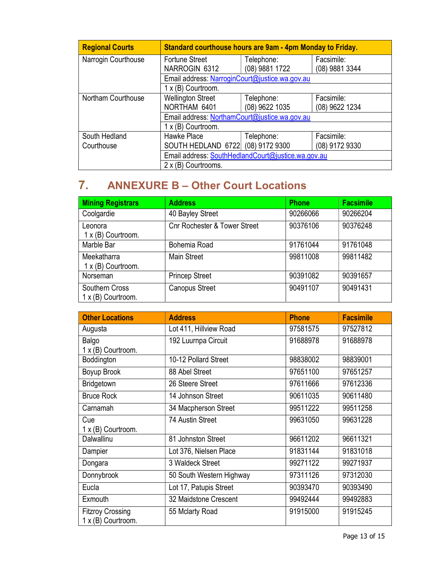| <b>Regional Courts</b> | Standard courthouse hours are 9am - 4pm Monday to Friday. |                |                |  |
|------------------------|-----------------------------------------------------------|----------------|----------------|--|
| Narrogin Courthouse    | <b>Fortune Street</b>                                     | Telephone:     | Facsimile:     |  |
|                        | NARROGIN 6312                                             | (08) 9881 1722 | (08) 9881 3344 |  |
|                        | Email address: NarroginCourt@justice.wa.gov.au            |                |                |  |
|                        | 1 x (B) Courtroom.                                        |                |                |  |
| Northam Courthouse     | <b>Wellington Street</b>                                  | Telephone:     | Facsimile:     |  |
|                        | NORTHAM 6401                                              | (08) 9622 1035 | (08) 9622 1234 |  |
|                        | Email address: NorthamCourt@justice.wa.gov.au             |                |                |  |
|                        | 1 x (B) Courtroom.                                        |                |                |  |
| South Hedland          | Hawke Place                                               | Telephone:     | Facsimile:     |  |
| Courthouse             | SOUTH HEDLAND 6722 (08) 9172 9300                         |                | (08) 9172 9330 |  |
|                        | Email address: SouthHedlandCourt@justice.wa.gov.au        |                |                |  |
|                        | 2 x (B) Courtrooms.                                       |                |                |  |

# 7. ANNEXURE B – Other Court Locations

| <b>Mining Registrars</b>                    | <b>Address</b>                          | <b>Phone</b> | <b>Facsimile</b> |
|---------------------------------------------|-----------------------------------------|--------------|------------------|
| Coolgardie                                  | 40 Bayley Street                        | 90266066     | 90266204         |
| Leonora<br>1 x (B) Courtroom.               | <b>Cnr Rochester &amp; Tower Street</b> | 90376106     | 90376248         |
| Marble Bar                                  | Bohemia Road                            | 91761044     | 91761048         |
| Meekatharra<br>1 x (B) Courtroom.           | <b>Main Street</b>                      | 99811008     | 99811482         |
| Norseman                                    | <b>Princep Street</b>                   | 90391082     | 90391657         |
| Southern Cross<br>$1 \times$ (B) Courtroom. | <b>Canopus Street</b>                   | 90491107     | 90491431         |

| <b>Other Locations</b>                          | <b>Address</b>           | <b>Phone</b> | <b>Facsimile</b> |
|-------------------------------------------------|--------------------------|--------------|------------------|
| Augusta                                         | Lot 411, Hillview Road   | 97581575     | 97527812         |
| Balgo                                           | 192 Luurnpa Circuit      | 91688978     | 91688978         |
| 1 x (B) Courtroom.                              |                          |              |                  |
| Boddington                                      | 10-12 Pollard Street     | 98838002     | 98839001         |
| Boyup Brook                                     | 88 Abel Street           | 97651100     | 97651257         |
| Bridgetown                                      | 26 Steere Street         | 97611666     | 97612336         |
| <b>Bruce Rock</b>                               | 14 Johnson Street        | 90611035     | 90611480         |
| Carnamah                                        | 34 Macpherson Street     | 99511222     | 99511258         |
| Cue                                             | 74 Austin Street         | 99631050     | 99631228         |
| 1 x (B) Courtroom.                              |                          |              |                  |
| Dalwallinu                                      | 81 Johnston Street       | 96611202     | 96611321         |
| Dampier                                         | Lot 376, Nielsen Place   | 91831144     | 91831018         |
| Dongara                                         | 3 Waldeck Street         | 99271122     | 99271937         |
| Donnybrook                                      | 50 South Western Highway | 97311126     | 97312030         |
| Eucla                                           | Lot 17, Patupis Street   | 90393470     | 90393490         |
| Exmouth                                         | 32 Maidstone Crescent    | 99492444     | 99492883         |
| <b>Fitzroy Crossing</b><br>$1 x (B)$ Courtroom. | 55 Mclarty Road          | 91915000     | 91915245         |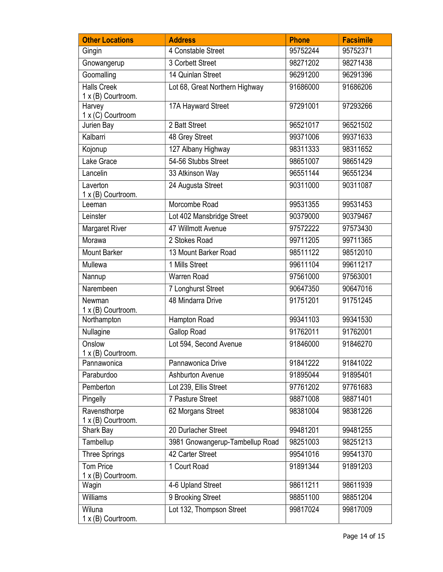| <b>Other Locations</b>                              | <b>Address</b>                  | <b>Phone</b> | <b>Facsimile</b> |
|-----------------------------------------------------|---------------------------------|--------------|------------------|
| Gingin                                              | 4 Constable Street              | 95752244     | 95752371         |
| Gnowangerup                                         | 3 Corbett Street                | 98271202     | 98271438         |
| Goomalling                                          | 14 Quinlan Street               | 96291200     | 96291396         |
| <b>Halls Creek</b>                                  | Lot 68, Great Northern Highway  | 91686000     | 91686206         |
| 1 x (B) Courtroom.<br>Harvey<br>$1 x (C)$ Courtroom | 17A Hayward Street              | 97291001     | 97293266         |
| Jurien Bay                                          | 2 Batt Street                   | 96521017     | 96521502         |
| Kalbarri                                            | 48 Grey Street                  | 99371006     | 99371633         |
| Kojonup                                             | 127 Albany Highway              | 98311333     | 98311652         |
| Lake Grace                                          | 54-56 Stubbs Street             | 98651007     | 98651429         |
| Lancelin                                            | 33 Atkinson Way                 | 96551144     | 96551234         |
| Laverton<br>1 x (B) Courtroom.                      | 24 Augusta Street               | 90311000     | 90311087         |
| Leeman                                              | Morcombe Road                   | 99531355     | 99531453         |
| Leinster                                            | Lot 402 Mansbridge Street       | 90379000     | 90379467         |
| <b>Margaret River</b>                               | 47 Willmott Avenue              | 97572222     | 97573430         |
| Morawa                                              | 2 Stokes Road                   | 99711205     | 99711365         |
| <b>Mount Barker</b>                                 | 13 Mount Barker Road            | 98511122     | 98512010         |
| Mullewa                                             | 1 Mills Street                  | 99611104     | 99611217         |
| Nannup                                              | Warren Road                     | 97561000     | 97563001         |
| Narembeen                                           | 7 Longhurst Street              | 90647350     | 90647016         |
| Newman<br>1 x (B) Courtroom.                        | 48 Mindarra Drive               | 91751201     | 91751245         |
| Northampton                                         | Hampton Road                    | 99341103     | 99341530         |
| Nullagine                                           | Gallop Road                     | 91762011     | 91762001         |
| Onslow<br>1 x (B) Courtroom.                        | Lot 594, Second Avenue          | 91846000     | 91846270         |
| Pannawonica                                         | Pannawonica Drive               | 91841222     | 91841022         |
| Paraburdoo                                          | Ashburton Avenue                | 91895044     | 91895401         |
| Pemberton                                           | Lot 239, Ellis Street           | 97761202     | 97761683         |
| Pingelly                                            | 7 Pasture Street                | 98871008     | 98871401         |
| Ravensthorpe<br>1 x (B) Courtroom.                  | 62 Morgans Street               | 98381004     | 98381226         |
| Shark Bay                                           | 20 Durlacher Street             | 99481201     | 99481255         |
| Tambellup                                           | 3981 Gnowangerup-Tambellup Road | 98251003     | 98251213         |
| <b>Three Springs</b>                                | 42 Carter Street                | 99541016     | 99541370         |
| <b>Tom Price</b><br>1 x (B) Courtroom.              | 1 Court Road                    | 91891344     | 91891203         |
| Wagin                                               | 4-6 Upland Street               | 98611211     | 98611939         |
| Williams                                            | 9 Brooking Street               | 98851100     | 98851204         |
| Wiluna<br>1 x (B) Courtroom.                        | Lot 132, Thompson Street        | 99817024     | 99817009         |